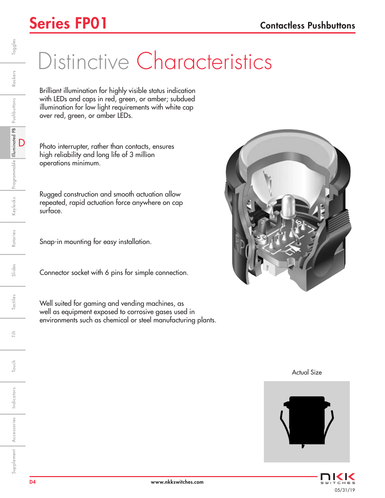### Series FP01 Contactless Pushbuttons

# Distinctive Characteristics

Brilliant illumination for highly visible status indication with LEDs and caps in red, green, or amber; subdued illumination for low light requirements with white cap over red, green, or amber LEDs.

Photo interrupter, rather than contacts, ensures high reliability and long life of 3 million operations minimum.

Rugged construction and smooth actuation allow repeated, rapid actuation force anywhere on cap surface.

Snap-in mounting for easy installation.

Connector socket with 6 pins for simple connection.

Well suited for gaming and vending machines, as well as equipment exposed to corrosive gases used in environments such as chemical or steel manufacturing plants.



Actual Size



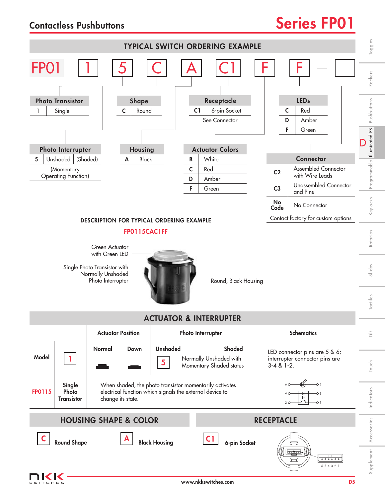### Contactless Pushbuttons **Series FP01**



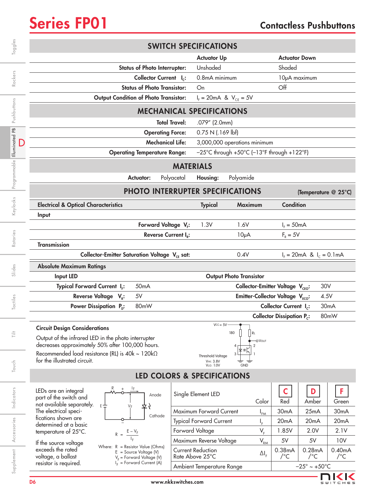

|                | <b>SWITCH SPECIFICATIONS</b>                                                                                                                               |                                              |                                                                                       |                                              |                                                      |                   |  |
|----------------|------------------------------------------------------------------------------------------------------------------------------------------------------------|----------------------------------------------|---------------------------------------------------------------------------------------|----------------------------------------------|------------------------------------------------------|-------------------|--|
| Toggles        |                                                                                                                                                            |                                              | <b>Actuator Up</b>                                                                    |                                              | <b>Actuator Down</b>                                 |                   |  |
|                | <b>Status of Photo Interrupter:</b>                                                                                                                        | Unshaded                                     |                                                                                       |                                              | Shaded                                               |                   |  |
| Rockers        | Collector Current I <sub>c</sub> :                                                                                                                         |                                              | 0.8mA minimum                                                                         |                                              | 10µA maximum                                         |                   |  |
|                | <b>Status of Photo Transistor:</b>                                                                                                                         | On                                           |                                                                                       | Off                                          |                                                      |                   |  |
| Pushbuttons    | <b>Output Condition of Photo Transistor:</b>                                                                                                               |                                              | $I_{F} = 20 \text{mA}$ & $V_{CE} = 5V$                                                |                                              |                                                      |                   |  |
|                | <b>MECHANICAL SPECIFICATIONS</b>                                                                                                                           |                                              |                                                                                       |                                              |                                                      |                   |  |
|                |                                                                                                                                                            | <b>Total Travel:</b>                         | .079" (2.0mm)                                                                         |                                              |                                                      |                   |  |
| Illuminated PB | <b>Operating Force:</b>                                                                                                                                    |                                              | 0.75 N(.169 lbf)                                                                      |                                              |                                                      |                   |  |
|                | <b>Mechanical Life:</b>                                                                                                                                    |                                              | 3,000,000 operations minimum                                                          |                                              |                                                      |                   |  |
|                | <b>Operating Temperature Range:</b>                                                                                                                        |                                              | $-25^{\circ}$ C through +50 $^{\circ}$ C (-13 $^{\circ}$ F through +122 $^{\circ}$ F) |                                              |                                                      |                   |  |
| Programmable   | <b>MATERIALS</b>                                                                                                                                           |                                              |                                                                                       |                                              |                                                      |                   |  |
|                | <b>Actuator:</b>                                                                                                                                           | Polyacetal<br>Housing:                       | Polyamide                                                                             |                                              |                                                      |                   |  |
|                | PHOTO INTERRUPTER SPECIFICATIONS<br>(Temperature @ 25°C)                                                                                                   |                                              |                                                                                       |                                              |                                                      |                   |  |
| Keylocks       | <b>Electrical &amp; Optical Characteristics</b>                                                                                                            | <b>Typical</b>                               | Maximum                                                                               | Condition                                    |                                                      |                   |  |
|                | Input                                                                                                                                                      |                                              |                                                                                       |                                              |                                                      |                   |  |
| Rotaries       | Forward Voltage V <sub>F</sub> :                                                                                                                           | 1.3V                                         | 1.6V                                                                                  | $IF = 50mA$                                  |                                                      |                   |  |
|                | Reverse Current I <sub>p</sub> :                                                                                                                           |                                              | 10 <sub>µ</sub> A                                                                     | $F_R = 5V$                                   |                                                      |                   |  |
|                | <b>Transmission</b>                                                                                                                                        |                                              |                                                                                       |                                              |                                                      |                   |  |
|                | Collector-Emitter Saturation Voltage V <sub>CE</sub> sat:                                                                                                  |                                              | 0.4V                                                                                  |                                              | $I_F = 20 \text{ mA}$ & $I_C = 0.1 \text{ mA}$       |                   |  |
| Slides         | <b>Absolute Maximum Ratings</b>                                                                                                                            |                                              |                                                                                       |                                              |                                                      |                   |  |
|                | <b>Output Photo Transistor</b><br><b>Input LED</b>                                                                                                         |                                              |                                                                                       |                                              |                                                      |                   |  |
| Tactiles       | Typical Forward Current I <sub>F</sub> :<br>Collector-Emitter Voltage V <sub>CEO</sub> :<br>30V<br>50 <sub>m</sub> A                                       |                                              |                                                                                       |                                              |                                                      |                   |  |
|                | Emitter-Collector Voltage V <sub>ECO</sub> :<br>Reverse Voltage V <sub>p</sub> :<br>5V<br>4.5V                                                             |                                              |                                                                                       |                                              |                                                      |                   |  |
|                | Power Dissipation P <sub>n</sub> :<br>80mW                                                                                                                 |                                              |                                                                                       | Collector Current I <sub>c</sub> :           |                                                      | 30 <sub>m</sub> A |  |
|                |                                                                                                                                                            |                                              |                                                                                       | <b>Collector Dissipation P<sub>c</sub></b> : |                                                      | 80mW              |  |
|                | <b>Circuit Design Considerations</b>                                                                                                                       | $Vcc = 5V$                                   |                                                                                       |                                              |                                                      |                   |  |
|                |                                                                                                                                                            |                                              | 180                                                                                   |                                              |                                                      |                   |  |
| 言              | Output of the infrared LED in the photo interrupter                                                                                                        |                                              | l Rl<br>-OVout                                                                        |                                              |                                                      |                   |  |
|                | decreases approximately 50% after 100,000 hours.                                                                                                           |                                              | 2<br>3                                                                                |                                              |                                                      |                   |  |
|                | Recommended load resistance (RL) is 40k ~ 120kΩ<br>for the illustrated circuit.                                                                            | <b>Threshold Voltage</b><br><b>VHI: 3.8V</b> |                                                                                       |                                              |                                                      |                   |  |
| Touch          |                                                                                                                                                            | <b>VLO: 1.0V</b>                             | <b>GND</b>                                                                            |                                              |                                                      |                   |  |
|                |                                                                                                                                                            | LED COLORS & SPECIFICATIONS                  |                                                                                       |                                              |                                                      |                   |  |
|                | LEDs are an integral<br>Anode                                                                                                                              | Single Element LED                           |                                                                                       | $\mathsf{C}$                                 | D                                                    | F                 |  |
| Indicators     | part of the switch and<br>not available separately.<br>$E \neq$                                                                                            |                                              | Color                                                                                 | Red                                          | Amber                                                | Green             |  |
|                | The electrical speci-<br>Cathode                                                                                                                           | Maximum Forward Current                      | $I_{FM}$                                                                              | 30 <sub>m</sub> A                            | 25mA                                                 | 30 <sub>m</sub> A |  |
|                | fications shown are<br>determined at a basic                                                                                                               | <b>Typical Forward Current</b>               | $I_{F}$                                                                               | 20 <sub>m</sub> A                            | 20 <sub>m</sub> A                                    | 20 <sub>m</sub> A |  |
|                | temperature of 25°C.<br>$R =$                                                                                                                              | Forward Voltage                              | $V_F$                                                                                 | 1.85V                                        | 2.0V                                                 | 2.1V              |  |
| Accessories    | If the source voltage<br>Where: $R =$ Resistor Value (Ohms)                                                                                                | Maximum Reverse Voltage                      | $\mathsf{V}_{\mathsf{RM}}$                                                            | 5V                                           | 5V                                                   | 10V               |  |
| Supplement     | exceeds the rated<br>$E = Source Voltage (V)$<br>voltage, a ballast<br>$V_F$ = Forward Voltage (V)<br>$I_F$ = Forward Current (A)<br>resistor is required. | <b>Current Reduction</b><br>Rate Above 25°C  | $\Delta I_{F}$                                                                        | 0.38mA<br>$/$ °C                             | 0.28mA<br>$/$ °C<br>$-25^{\circ} \sim +50^{\circ}$ C | 0.40mA<br>$/$ °C  |  |

Ambient Temperature Range  $-25^\circ \sim +50^\circ \text{C}$ 

**NKK**  $S$  $U$  $I$  $T$  $C$  $H$ 

e s